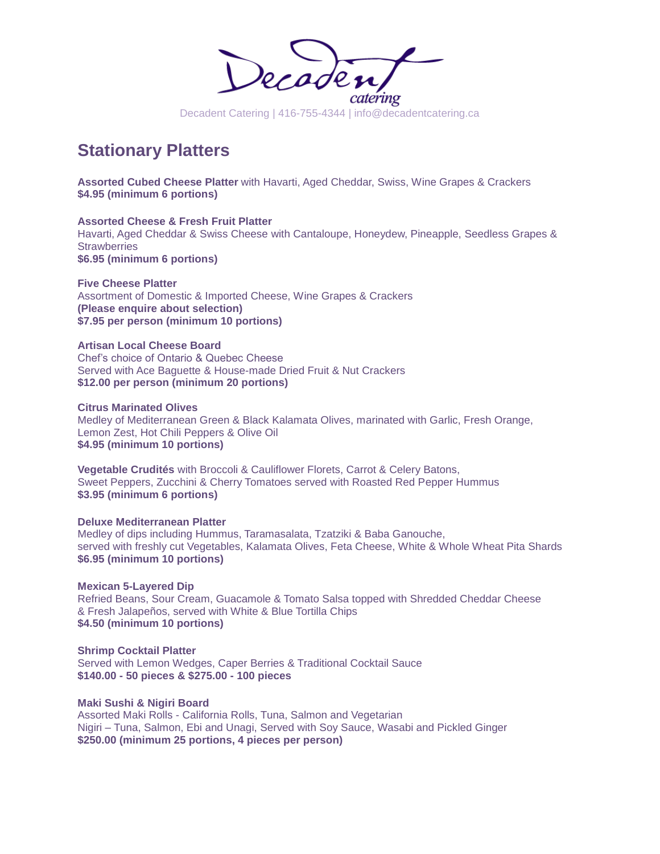

# **Stationary Platters**

**Assorted Cubed Cheese Platter** with Havarti, Aged Cheddar, Swiss, Wine Grapes & Crackers **\$4.95 (minimum 6 portions)**

**Assorted Cheese & Fresh Fruit Platter** Havarti, Aged Cheddar & Swiss Cheese with Cantaloupe, Honeydew, Pineapple, Seedless Grapes & **Strawberries \$6.95 (minimum 6 portions)**

**Five Cheese Platter** Assortment of Domestic & Imported Cheese, Wine Grapes & Crackers **(Please enquire about selection) \$7.95 per person (minimum 10 portions)**

**Artisan Local Cheese Board** Chef's choice of Ontario & Quebec Cheese Served with Ace Baguette & House-made Dried Fruit & Nut Crackers **\$12.00 per person (minimum 20 portions)**

**Citrus Marinated Olives** Medley of Mediterranean Green & Black Kalamata Olives, marinated with Garlic, Fresh Orange, Lemon Zest, Hot Chili Peppers & Olive Oil **\$4.95 (minimum 10 portions)**

**Vegetable Crudités** with Broccoli & Cauliflower Florets, Carrot & Celery Batons, Sweet Peppers, Zucchini & Cherry Tomatoes served with Roasted Red Pepper Hummus **\$3.95 (minimum 6 portions)**

**Deluxe Mediterranean Platter** Medley of dips including Hummus, Taramasalata, Tzatziki & Baba Ganouche, served with freshly cut Vegetables, Kalamata Olives, Feta Cheese, White & Whole Wheat Pita Shards **\$6.95 (minimum 10 portions)**

**Mexican 5-Layered Dip** Refried Beans, Sour Cream, Guacamole & Tomato Salsa topped with Shredded Cheddar Cheese & Fresh Jalapeños, served with White & Blue Tortilla Chips **\$4.50 (minimum 10 portions)**

**Shrimp Cocktail Platter** Served with Lemon Wedges, Caper Berries & Traditional Cocktail Sauce **\$140.00 - 50 pieces & \$275.00 - 100 pieces**

**Maki Sushi & Nigiri Board** Assorted Maki Rolls - California Rolls, Tuna, Salmon and Vegetarian Nigiri – Tuna, Salmon, Ebi and Unagi, Served with Soy Sauce, Wasabi and Pickled Ginger **\$250.00 (minimum 25 portions, 4 pieces per person)**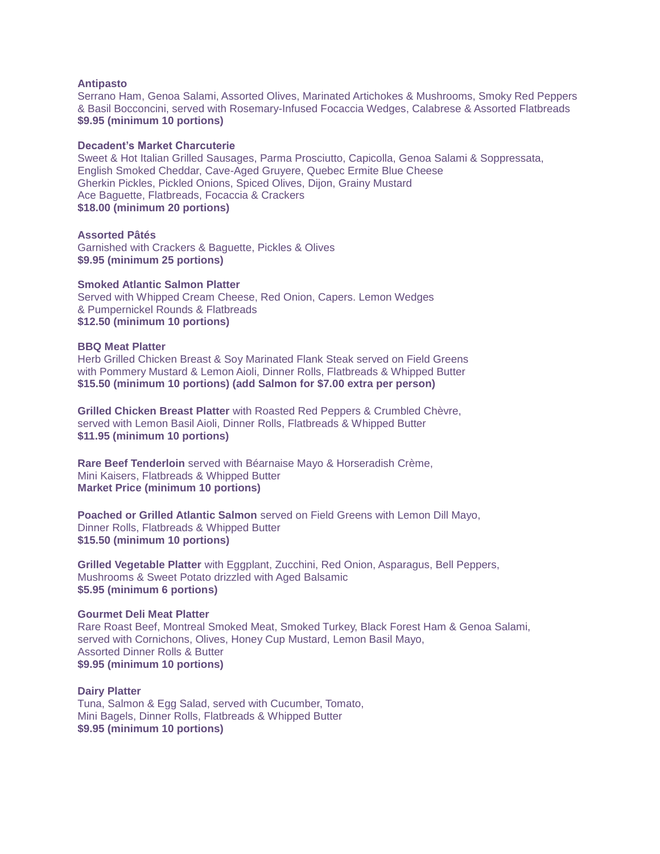# **Antipasto**

Serrano Ham, Genoa Salami, Assorted Olives, Marinated Artichokes & Mushrooms, Smoky Red Peppers & Basil Bocconcini, served with Rosemary-Infused Focaccia Wedges, Calabrese & Assorted Flatbreads **\$9.95 (minimum 10 portions)**

#### **Decadent's Market Charcuterie**

Sweet & Hot Italian Grilled Sausages, Parma Prosciutto, Capicolla, Genoa Salami & Soppressata, English Smoked Cheddar, Cave-Aged Gruyere, Quebec Ermite Blue Cheese Gherkin Pickles, Pickled Onions, Spiced Olives, Dijon, Grainy Mustard Ace Baguette, Flatbreads, Focaccia & Crackers **\$18.00 (minimum 20 portions)**

**Assorted Pâtés** Garnished with Crackers & Baguette, Pickles & Olives **\$9.95 (minimum 25 portions)**

#### **Smoked Atlantic Salmon Platter**

Served with Whipped Cream Cheese, Red Onion, Capers. Lemon Wedges & Pumpernickel Rounds & Flatbreads **\$12.50 (minimum 10 portions)**

# **BBQ Meat Platter**

Herb Grilled Chicken Breast & Soy Marinated Flank Steak served on Field Greens with Pommery Mustard & Lemon Aioli, Dinner Rolls, Flatbreads & Whipped Butter **\$15.50 (minimum 10 portions) (add Salmon for \$7.00 extra per person)**

**Grilled Chicken Breast Platter** with Roasted Red Peppers & Crumbled Chèvre, served with Lemon Basil Aioli, Dinner Rolls, Flatbreads & Whipped Butter **\$11.95 (minimum 10 portions)**

**Rare Beef Tenderloin** served with Béarnaise Mayo & Horseradish Crème, Mini Kaisers, Flatbreads & Whipped Butter **Market Price (minimum 10 portions)**

**Poached or Grilled Atlantic Salmon** served on Field Greens with Lemon Dill Mayo, Dinner Rolls, Flatbreads & Whipped Butter **\$15.50 (minimum 10 portions)**

**Grilled Vegetable Platter** with Eggplant, Zucchini, Red Onion, Asparagus, Bell Peppers, Mushrooms & Sweet Potato drizzled with Aged Balsamic **\$5.95 (minimum 6 portions)**

# **Gourmet Deli Meat Platter**

Rare Roast Beef, Montreal Smoked Meat, Smoked Turkey, Black Forest Ham & Genoa Salami, served with Cornichons, Olives, Honey Cup Mustard, Lemon Basil Mayo, Assorted Dinner Rolls & Butter **\$9.95 (minimum 10 portions)**

**Dairy Platter** Tuna, Salmon & Egg Salad, served with Cucumber, Tomato, Mini Bagels, Dinner Rolls, Flatbreads & Whipped Butter **\$9.95 (minimum 10 portions)**